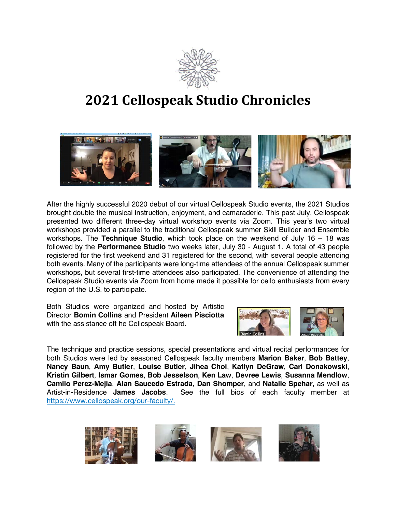

## **2021 Cellospeak Studio Chronicles**



After the highly successful 2020 debut of our virtual Cellospeak Studio events, the 2021 Studios brought double the musical instruction, enjoyment, and camaraderie. This past July, Cellospeak presented two different three-day virtual workshop events via Zoom. This year's two virtual workshops provided a parallel to the traditional Cellospeak summer Skill Builder and Ensemble workshops. The **Technique Studio**, which took place on the weekend of July 16 – 18 was followed by the **Performance Studio** two weeks later, July 30 - August 1. A total of 43 people registered for the first weekend and 31 registered for the second, with several people attending both events. Many of the participants were long-time attendees of the annual Cellospeak summer workshops, but several first-time attendees also participated. The convenience of attending the Cellospeak Studio events via Zoom from home made it possible for cello enthusiasts from every region of the U.S. to participate.

Both Studios were organized and hosted by Artistic Director **Bomin Collins** and President **Aileen Pisciotta** with the assistance oft he Cellospeak Board.



The technique and practice sessions, special presentations and virtual recital performances for both Studios were led by seasoned Cellospeak faculty members **Marion Baker**, **Bob Battey**, **Nancy Baun**, **Amy Butler**, **Louise Butler**, **Jihea Choi**, **Katlyn DeGraw**, **Carl Donakowski**, **Kristin Gilbert**, **Ismar Gomes**, **Bob Jesselson**, **Ken Law**, **Devree Lewis**, **Susanna Mendlow**, **Camilo Perez-Mejia**, **Alan Saucedo Estrada**, **Dan Shomper**, and **Natalie Spehar**, as well as Artist-in-Residence **James Jacobs**. See the full bios of each faculty member at https://www.cellospeak.org/our-faculty/.

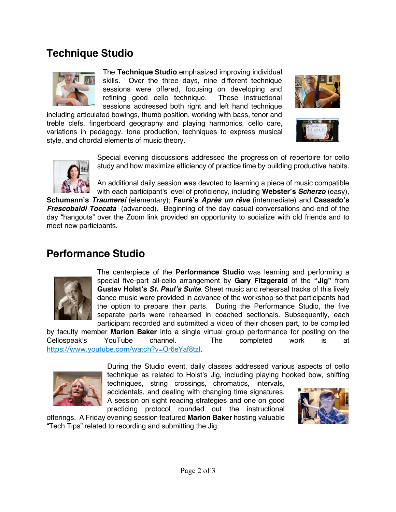## **Technique Studio**



The **Technique Studio** emphasized improving individual skills. Over the three days, nine different technique sessions were offered, focusing on developing and refining good cello technique. These instructional sessions addressed both right and left hand technique

including articulated bowings, thumb position, working with bass, tenor and treble clefs, fingerboard geography and playing harmonics, cello care, variations in pedagogy, tone production, techniques to express musical style, and chordal elements of music theory.







Special evening discussions addressed the progression of repertoire for cello study and how maximize efficiency of practice time by building productive habits.

An additional daily session was devoted to learning a piece of music compatible with each participant's level of proficiency, including **Webster's** *Scherzo* (easy),

**Schumann's** *Traumerei* (elementary); **Fauré's** *Après un rêve* (intermediate) and **Cassado's** *Frescobaldi Toccata* (advanced). Beginning of the day casual conversations and end of the day "hangouts" over the Zoom link provided an opportunity to socialize with old friends and to meet new participants.

## **Performance Studio**



The centerpiece of the **Performance Studio** was learning and performing a special five-part all-cello arrangement by **Gary Fitzgerald** of the **"Jig"** from **Gustav Holst's** *St. Paul's Suite.* Sheet music and rehearsal tracks of this lively dance music were provided in advance of the workshop so that participants had the option to prepare their parts. During the Performance Studio, the five separate parts were rehearsed in coached sectionals. Subsequently, each participant recorded and submitted a video of their chosen part, to be compiled

by faculty member **Marion Baker** into a single virtual group performance for posting on the Cellospeak's YouTube channel. The completed work is at https://www.youtube.com/watch?v=Or6eYaf8tzI.



During the Studio event, daily classes addressed various aspects of cello technique as related to Holst's Jig, including playing hooked bow, shifting

techniques, string crossings, chromatics, intervals, accidentals, and dealing with changing time signatures. A session on sight reading strategies and one on good practicing protocol rounded out the instructional

offerings. A Friday evening session featured **Marion Baker** hosting valuable "Tech Tips" related to recording and submitting the Jig.